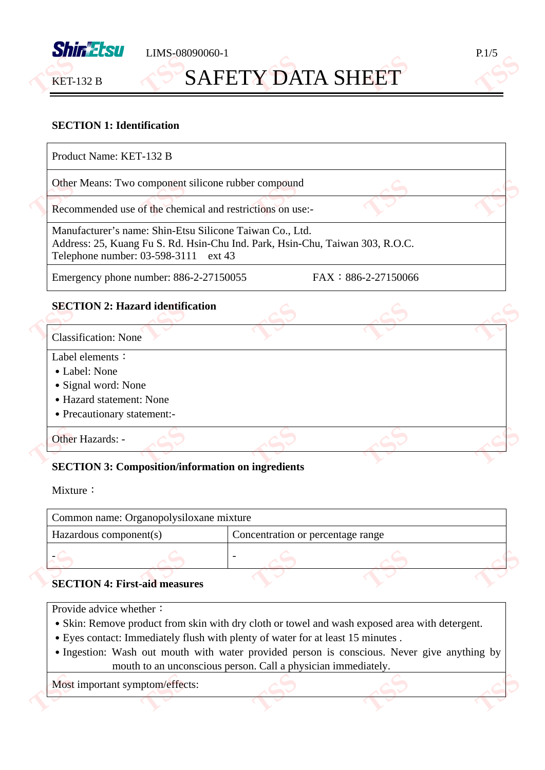

LIMS-08090060-1 P.1/5 **TSSSSS** 

# **SAFETY DATA SHEET**

# T.5S

### **SECTION 1: Identification**

| Other Means: Two component silicone rubber compound                                                                                                                               |                     |  |  |
|-----------------------------------------------------------------------------------------------------------------------------------------------------------------------------------|---------------------|--|--|
| Recommended use of the chemical and restrictions on use:-                                                                                                                         |                     |  |  |
| Manufacturer's name: Shin-Etsu Silicone Taiwan Co., Ltd.<br>Address: 25, Kuang Fu S. Rd. Hsin-Chu Ind. Park, Hsin-Chu, Taiwan 303, R.O.C.<br>Telephone number: 03-598-3111 ext 43 |                     |  |  |
| Emergency phone number: 886-2-27150055                                                                                                                                            | FAX: 886-2-27150066 |  |  |
|                                                                                                                                                                                   |                     |  |  |
|                                                                                                                                                                                   |                     |  |  |
|                                                                                                                                                                                   |                     |  |  |
|                                                                                                                                                                                   |                     |  |  |
| • Label: None                                                                                                                                                                     |                     |  |  |
| <b>SECTION 2: Hazard identification</b><br><b>Classification: None</b><br>• Signal word: None                                                                                     |                     |  |  |
| Label elements:<br>• Hazard statement: None                                                                                                                                       |                     |  |  |
| • Precautionary statement:-                                                                                                                                                       |                     |  |  |

Mixture:

| Common name: Organopolysiloxane mixture |                        |  |                                   |  |
|-----------------------------------------|------------------------|--|-----------------------------------|--|
|                                         | Hazardous component(s) |  | Concentration or percentage range |  |
|                                         |                        |  |                                   |  |
| <b>SECTION 4: First-aid measures</b>    |                        |  |                                   |  |

Provide advice whether:

- ․Skin: Remove product from skin with dry cloth or towel and wash exposed area with detergent.
- ․Eyes contact: Immediately flush with plenty of water for at least 15 minutes .
- Ingestion: Wash out mouth with water provided person is conscious. Never give anything by mouth to an unconscious person. Call a physician immediately.

**TSS**

**TSS**

**TSS**

# Most important symptom/effects: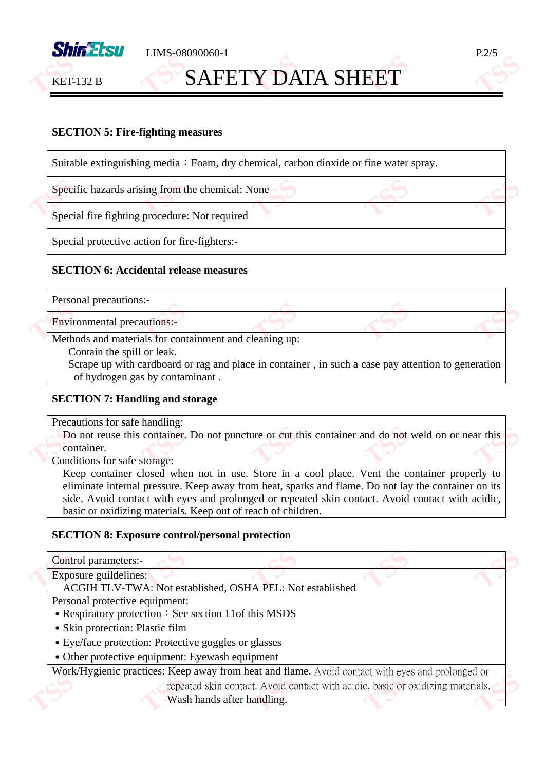

**KET-132 B** 

### **SAFETY DATA SHEET TSSSSS**



#### **SECTION 5: Fire-fighting measures**

| Specific hazards arising from the chemical: None |  |
|--------------------------------------------------|--|
| Special fire fighting procedure: Not required    |  |

#### **SECTION 6: Accidental release measures**

| Personal precautions:-                                                                             |  |  |
|----------------------------------------------------------------------------------------------------|--|--|
| <b>Environmental precautions:-</b>                                                                 |  |  |
| Methods and materials for containment and cleaning up:                                             |  |  |
| Contain the spill or leak.                                                                         |  |  |
| Scrape up with cardboard or rag and place in container, in such a case pay attention to generation |  |  |
| of hydrogen gas by contaminant.                                                                    |  |  |

#### **SECTION 7: Handling and storage**

Precautions for safe handling:

Do not reuse this container. Do not puncture or cut this container and do not weld on or near this container. container. Do not reuse this container.

Keep container closed when not in use. Store in a cool place. Vent the container properly to eliminate internal pressure. Keep away from heat, sparks and flame. Do not lay the container on its side. Avoid contact with eyes and prolonged or repeated skin contact. Avoid contact with acidic, basic or oxidizing materials. Keep out of reach of children.

#### **SECTION 8: Exposure control/personal protectio**n

| Personal protective equipment:                                                                   |  |  |  |  |
|--------------------------------------------------------------------------------------------------|--|--|--|--|
| • Respiratory protection: See section 11of this MSDS                                             |  |  |  |  |
|                                                                                                  |  |  |  |  |
|                                                                                                  |  |  |  |  |
| • Other protective equipment: Eyewash equipment                                                  |  |  |  |  |
| Work/Hygienic practices: Keep away from heat and flame. Avoid contact with eyes and prolonged or |  |  |  |  |
| repeated skin contact. Avoid contact with acidic, basic or oxidizing materials.                  |  |  |  |  |
|                                                                                                  |  |  |  |  |
|                                                                                                  |  |  |  |  |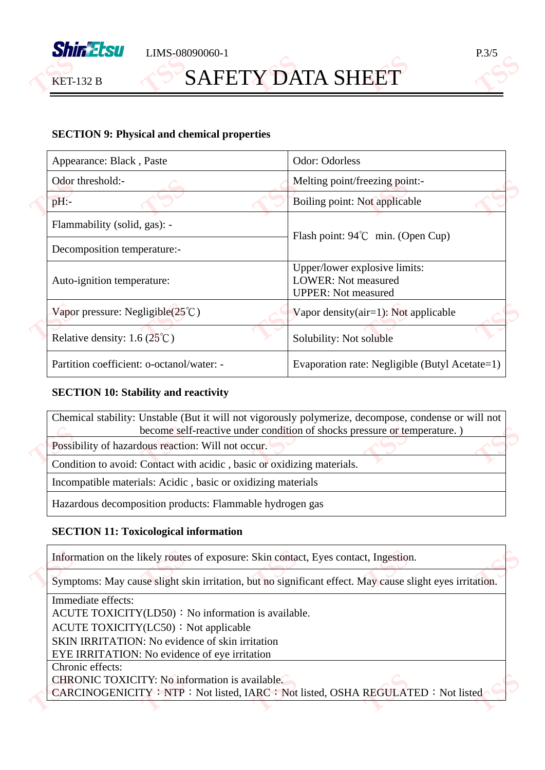

LIMS-08090060-1 P.3/5

### **SAFETY DATA SHEET TSSSSS**



#### **SECTION 9: Physical and chemical properties**

|  | Appearance: Black, Paste                          | Odor: Odorless                                                                            |  |
|--|---------------------------------------------------|-------------------------------------------------------------------------------------------|--|
|  | Odor threshold:-                                  | Melting point/freezing point:-                                                            |  |
|  | $pH$ :-                                           | Boiling point: Not applicable                                                             |  |
|  | Flammability (solid, gas): -                      | Flash point: $94^{\circ}$ C min. (Open Cup)                                               |  |
|  | Decomposition temperature:-                       |                                                                                           |  |
|  | Auto-ignition temperature:                        | Upper/lower explosive limits:<br><b>LOWER:</b> Not measured<br><b>UPPER:</b> Not measured |  |
|  | Vapor pressure: Negligible $(25^{\circ}\text{C})$ | Vapor density $(air=1)$ : Not applicable                                                  |  |
|  | Relative density: $1.6(25^{\circ}\text{C})$       | Solubility: Not soluble                                                                   |  |
|  | Partition coefficient: o-octanol/water: -         | Evaporation rate: Negligible (Butyl Acetate=1)                                            |  |

#### **SECTION 10: Stability and reactivity**

| Chemical stability: Unstable (But it will not vigorously polymerize, decompose, condense or will not<br>become self-reactive under condition of shocks pressure or temperature.) |
|----------------------------------------------------------------------------------------------------------------------------------------------------------------------------------|
| Possibility of hazardous reaction: Will not occur.                                                                                                                               |
| Condition to avoid: Contact with acidic, basic or oxidizing materials.                                                                                                           |
| Incompatible materials: Acidic, basic or oxidizing materials                                                                                                                     |
| Hazardous decomposition products: Flammable hydrogen gas                                                                                                                         |

#### **SECTION 11: Toxicological information**

Information on the likely routes of exposure: Skin contact, Eyes contact, Ingestion.

Information on the likely routes of exposure: Skin contact, Eyes contact, Ingestion.<br>Symptoms: May cause slight skin irritation, but no significant effect. May cause slight eyes irritation.

Immediate effects: ACUTE TOXICITY(LD50): No information is available. ACUTE TOXICITY(LC50): Not applicable SKIN IRRITATION: No evidence of skin irritation EYE IRRITATION: No evidence of eye irritation Chronic effects: CHRONIC TOXICITY: No information is available. CARCINOGENICITY: NTP: Not listed, IARC: Not listed, OSHA REGULATED: Not listed CHRONIC TOXICITY: No information is available.<br>
CARCINOGENICITY: NTP: Not listed, IARC: Not listed, OSHA REGULAT **TSS**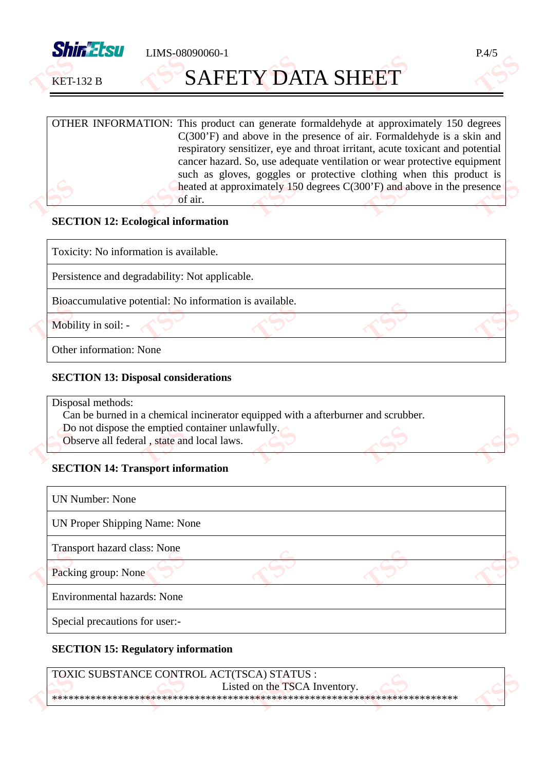

**SAFETY DATA SHEET TSSSSS** 

 $LMS-08090060-1$   $P.4/5$ 

**TSS**

**TSS**

T.3,5

**TSS**

**TSS**

OTHER INFORMATION: This product can generate formaldehyde at approximately 150 degrees C(300'F) and above in the presence of air. Formaldehyde is a skin and respiratory sensitizer, eye and throat irritant, acute toxicant and potential cancer hazard. So, use adequate ventilation or wear protective equipment such as gloves, goggles or protective clothing when this product is heated at approximately 150 degrees C(300'F) and above in the presence of air. of air. **TSS TSSSS** 

#### **SECTION 12: Ecological information**

Toxicity: No information is available.

Persistence and degradability: Not applicable.

Bioaccumulative potential: No information is available.<br> **Mobility in soil:** 

Mobility in soil: -Mobi

Other information: None

#### **SECTION 13: Disposal considerations**

Disposal methods:

- Can be burned in a chemical incinerator equipped with a afterburner and scrubber.
- Do not dispose the emptied container unlawfully.<br>
Observe all federal, state and local laws.
- Observe all federal, state and local laws. **TSS** e emptied<br>al, state an

### **SECTION 14: Transport information**

| <b>UN Number: None</b>             |  |  |
|------------------------------------|--|--|
| UN Proper Shipping Name: None      |  |  |
| Transport hazard class: None       |  |  |
| Packing group: None                |  |  |
| <b>Environmental hazards: None</b> |  |  |
| Special precautions for user:-     |  |  |

#### **SECTION 15: Regulatory information**

TOXIC SUBSTANCE CONTROL ACT(TSCA) STATUS : Listed on the TSCA Inventory. \*\*\*\*\*\*\*\*\*\*\*\*\*\*\*\*\*\*\*\*\*\*\*\*\*\*\*\*\*\*\*\*\*\*\*\*\*\*\*\*\*\*\*\*\*\*\*\*\*\*\*\*\*\*\*\*\*\*\*\*\*\*\*\*\*\*\*\*\*\*\*\*\*\* **TOX TSS TSS** The STAT<br>
on the TSC<br>
\*\*\*\*\*\*\*\*\* **TSS**